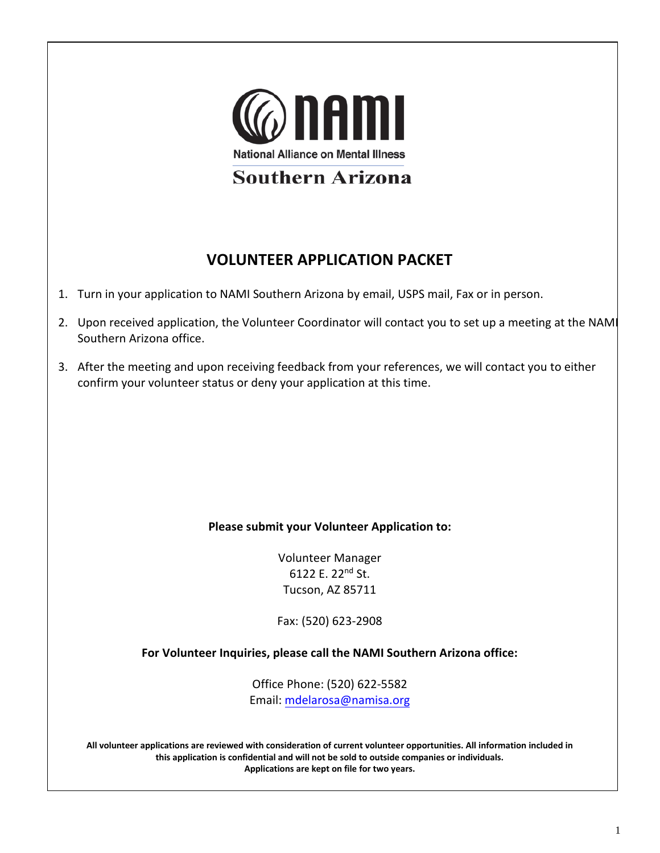

# **VOLUNTEER APPLICATION PACKET**

- 1. Turn in your application to NAMI Southern Arizona by email, USPS mail, Fax or in person.
- 2. Upon received application, the Volunteer Coordinator will contact you to set up a meeting at the NAMI Southern Arizona office.
- 3. After the meeting and upon receiving feedback from your references, we will contact you to either confirm your volunteer status or deny your application at this time.

### **Please submit your Volunteer Application to:**

Volunteer Manager 6122 E. 22<sup>nd</sup> St. Tucson, AZ 85711

Fax: (520) 623-2908

**For Volunteer Inquiries, please call the NAMI Southern Arizona office:** 

Office Phone: (520) 622-5582 Email: mdelarosa@namisa.org

**All volunteer applications are reviewed with consideration of current volunteer opportunities. All information included in this application is confidential and will not be sold to outside companies or individuals. Applications are kept on file for two years.**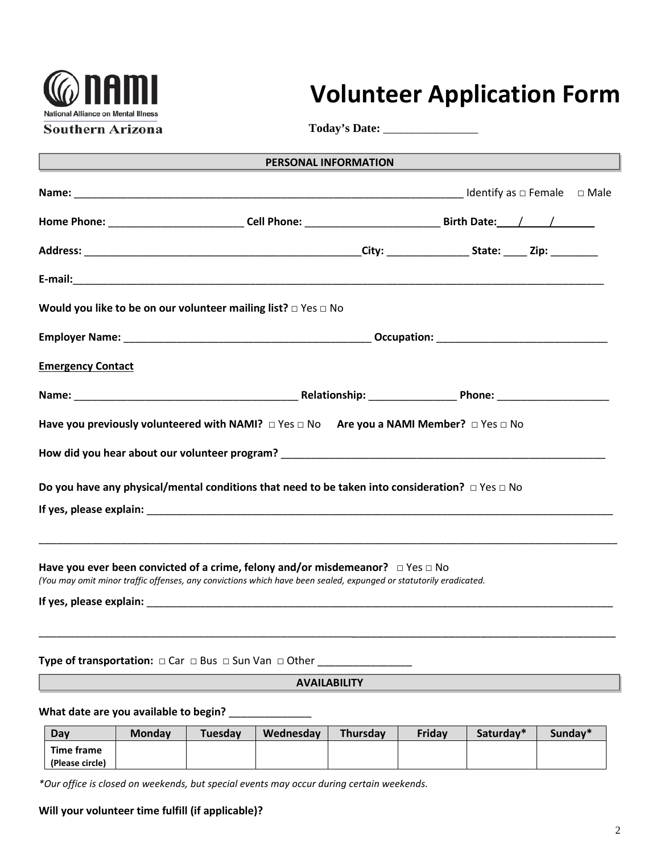

# **Volunteer Application Form**

**Today's Date:** \_\_\_\_\_\_\_\_\_\_\_\_\_\_\_\_

| <u> 1990 - Johann Barnett, fransk politiker (</u> | <b>PERSONAL INFORMATION</b>                                                                                                                                                                                   |  |  |  |
|---------------------------------------------------|---------------------------------------------------------------------------------------------------------------------------------------------------------------------------------------------------------------|--|--|--|
|                                                   |                                                                                                                                                                                                               |  |  |  |
|                                                   |                                                                                                                                                                                                               |  |  |  |
|                                                   |                                                                                                                                                                                                               |  |  |  |
|                                                   |                                                                                                                                                                                                               |  |  |  |
|                                                   | Would you like to be on our volunteer mailing list? $\Box$ Yes $\Box$ No                                                                                                                                      |  |  |  |
|                                                   |                                                                                                                                                                                                               |  |  |  |
| <b>Emergency Contact</b>                          |                                                                                                                                                                                                               |  |  |  |
|                                                   |                                                                                                                                                                                                               |  |  |  |
|                                                   | Have you previously volunteered with NAMI? $\Box$ Yes $\Box$ No Are you a NAMI Member? $\Box$ Yes $\Box$ No                                                                                                   |  |  |  |
|                                                   |                                                                                                                                                                                                               |  |  |  |
|                                                   | Do you have any physical/mental conditions that need to be taken into consideration? $\Box$ Yes $\Box$ No                                                                                                     |  |  |  |
|                                                   |                                                                                                                                                                                                               |  |  |  |
|                                                   |                                                                                                                                                                                                               |  |  |  |
|                                                   | Have you ever been convicted of a crime, felony and/or misdemeanor? $\Box$ Yes $\Box$ No<br>(You may omit minor traffic offenses, any convictions which have been sealed, expunged or statutorily eradicated. |  |  |  |
|                                                   |                                                                                                                                                                                                               |  |  |  |
|                                                   |                                                                                                                                                                                                               |  |  |  |

#### **Type of transportation: □** Car **□** Bus **□** Sun Van **□** Other \_\_\_\_\_\_\_\_\_\_\_\_\_\_\_\_

#### **AVAILABILITY**

What date are you available to begin? **What date are you available to begin?** 

| Dav               | <b>Monday</b> | Tuesday | Wednesday | <b>Thursday</b> | <b>Friday</b> | Saturday* | Sunday* |
|-------------------|---------------|---------|-----------|-----------------|---------------|-----------|---------|
| <b>Time frame</b> |               |         |           |                 |               |           |         |
| (Please circle)   |               |         |           |                 |               |           |         |

*\*Our office is closed on weekends, but special events may occur during certain weekends.*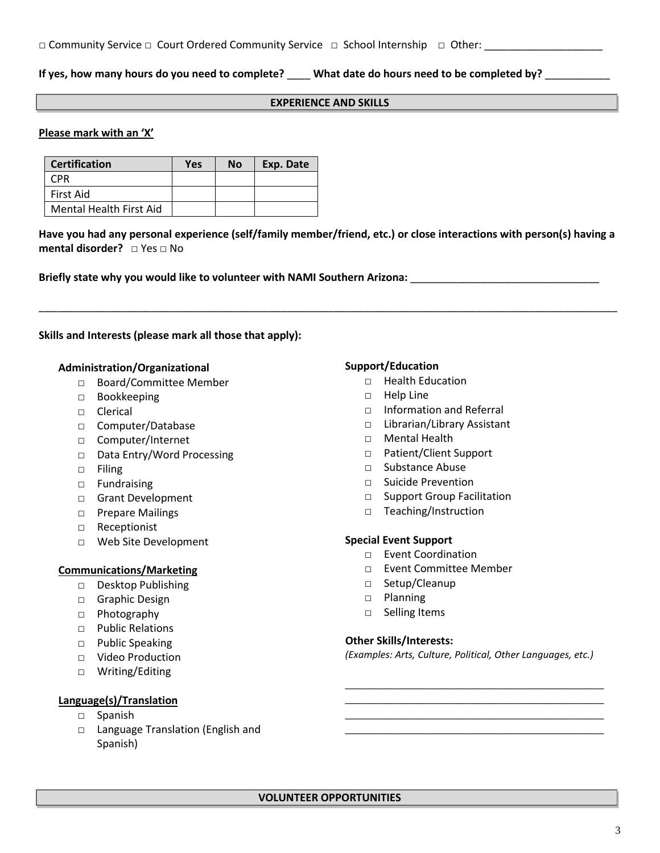#### **If yes, how many hours do you need to complete?** \_\_\_\_ **What date do hours need to be completed by?** \_\_\_\_\_\_\_\_\_\_\_

#### **EXPERIENCE AND SKILLS**

#### **Please mark with an 'X'**

| <b>Certification</b>    | Yes | <b>No</b> | Exp. Date |
|-------------------------|-----|-----------|-----------|
| CPR                     |     |           |           |
| First Aid               |     |           |           |
| Mental Health First Aid |     |           |           |

**Have you had any personal experience (self/family member/friend, etc.) or close interactions with person(s) having a mental disorder?** □ Yes □ No

\_\_\_\_\_\_\_\_\_\_\_\_\_\_\_\_\_\_\_\_\_\_\_\_\_\_\_\_\_\_\_\_\_\_\_\_\_\_\_\_\_\_\_\_\_\_\_\_\_\_\_\_\_\_\_\_\_\_\_\_\_\_\_\_\_\_\_\_\_\_\_\_\_\_\_\_\_\_\_\_\_\_\_\_\_\_\_\_\_\_\_\_\_\_\_\_\_\_

**Briefly state why you would like to volunteer with NAMI Southern Arizona:** \_\_\_\_\_\_\_\_\_\_\_\_\_\_\_\_\_\_\_\_\_\_\_\_\_\_\_\_\_\_\_\_

#### **Skills and Interests (please mark all those that apply):**

## **Administration/Organizational**

- □ Board/Committee Member
- □ Bookkeeping
- □ Clerical
- □ Computer/Database
- □ Computer/Internet
- □ Data Entry/Word Processing
- □ Filing
- □ Fundraising
- □ Grant Development
- □ Prepare Mailings
- □ Receptionist
- □ Web Site Development

#### **Communications/Marketing**

- □ Desktop Publishing
- □ Graphic Design
- □ Photography
- □ Public Relations
- □ Public Speaking
- □ Video Production
- □ Writing/Editing

#### **Language(s)/Translation**

- □ Spanish
- □ Language Translation (English and Spanish)

#### **Support/Education**

- □ Health Education
- □ Help Line
- □ Information and Referral
- □ Librarian/Library Assistant
- □ Mental Health
- □ Patient/Client Support
- □ Substance Abuse
- □ Suicide Prevention
- □ Support Group Facilitation
- □ Teaching/Instruction

#### **Special Event Support**

- □ Event Coordination
- □ Event Committee Member
- □ Setup/Cleanup
- □ Planning
- □ Selling Items

#### **Other Skills/Interests:**

*(Examples: Arts, Culture, Political, Other Languages, etc.)*

\_\_\_\_\_\_\_\_\_\_\_\_\_\_\_\_\_\_\_\_\_\_\_\_\_\_\_\_\_\_\_\_\_\_\_\_\_\_\_\_ \_\_\_\_\_\_\_\_\_\_\_\_\_\_\_\_\_\_\_\_\_\_\_\_\_\_\_\_\_\_\_\_\_\_\_\_\_\_\_\_ \_\_\_\_\_\_\_\_\_\_\_\_\_\_\_\_\_\_\_\_\_\_\_\_\_\_\_\_\_\_\_\_\_\_\_\_\_\_\_\_ \_\_\_\_\_\_\_\_\_\_\_\_\_\_\_\_\_\_\_\_\_\_\_\_\_\_\_\_\_\_\_\_\_\_\_\_\_\_\_\_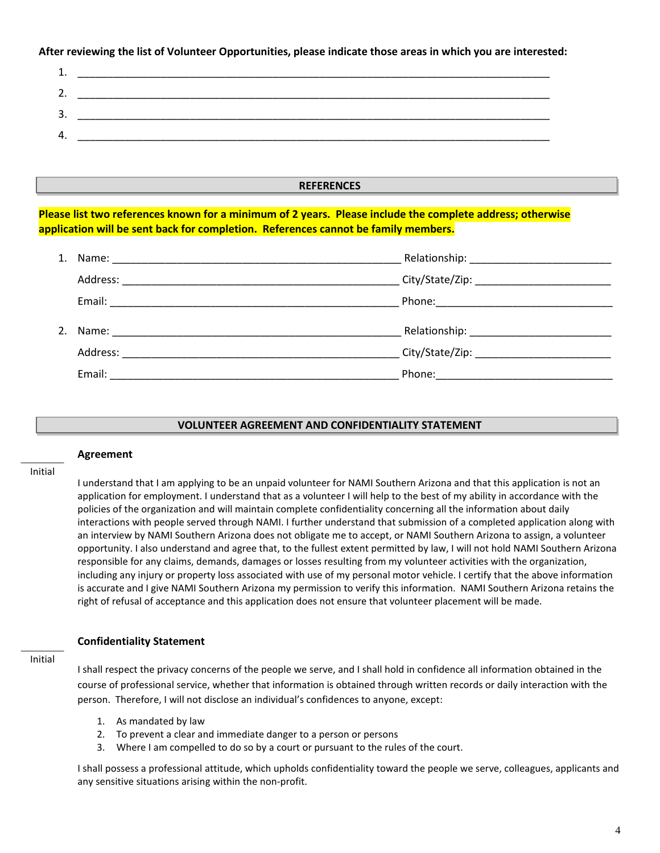**After reviewing the list of Volunteer Opportunities, please indicate those areas in which you are interested:**

| - -      |  |
|----------|--|
| <u>.</u> |  |
| ∽<br>ٮ   |  |
| 4        |  |

#### **REFERENCES**

**Please list two references known for a minimum of 2 years. Please include the complete address; otherwise application will be sent back for completion. References cannot be family members.**

| Name: 2008 2009 2009 2009 2009 2010 2021 2032 204 205 206 207 208 209 209 2009 2010 2011 2012 2013 2014 2015 20 |                                                                                                                 |
|-----------------------------------------------------------------------------------------------------------------|-----------------------------------------------------------------------------------------------------------------|
| Address:                                                                                                        |                                                                                                                 |
| Email:                                                                                                          | Phone: The Commission of the Commission of the Commission of the Commission of the Commission of the Commission |

#### **VOLUNTEER AGREEMENT AND CONFIDENTIALITY STATEMENT**

#### $\overline{\phantom{a}}$ Initial

**Agreement** 

I understand that I am applying to be an unpaid volunteer for NAMI Southern Arizona and that this application is not an application for employment. I understand that as a volunteer I will help to the best of my ability in accordance with the policies of the organization and will maintain complete confidentiality concerning all the information about daily interactions with people served through NAMI. I further understand that submission of a completed application along with an interview by NAMI Southern Arizona does not obligate me to accept, or NAMI Southern Arizona to assign, a volunteer opportunity. I also understand and agree that, to the fullest extent permitted by law, I will not hold NAMI Southern Arizona responsible for any claims, demands, damages or losses resulting from my volunteer activities with the organization, including any injury or property loss associated with use of my personal motor vehicle. I certify that the above information is accurate and I give NAMI Southern Arizona my permission to verify this information.NAMI Southern Arizona retains the right of refusal of acceptance and this application does not ensure that volunteer placement will be made.

#### **Confidentiality Statement**

\_\_\_\_\_\_\_\_ Initial

I shall respect the privacy concerns of the people we serve, and I shall hold in confidence all information obtained in the course of professional service, whether that information is obtained through written records or daily interaction with the person. Therefore, I will not disclose an individual's confidences to anyone, except:

- 1. As mandated by law
- 2. To prevent a clear and immediate danger to a person or persons
- 3. Where I am compelled to do so by a court or pursuant to the rules of the court.

I shall possess a professional attitude, which upholds confidentiality toward the people we serve, colleagues, applicants and any sensitive situations arising within the non-profit.